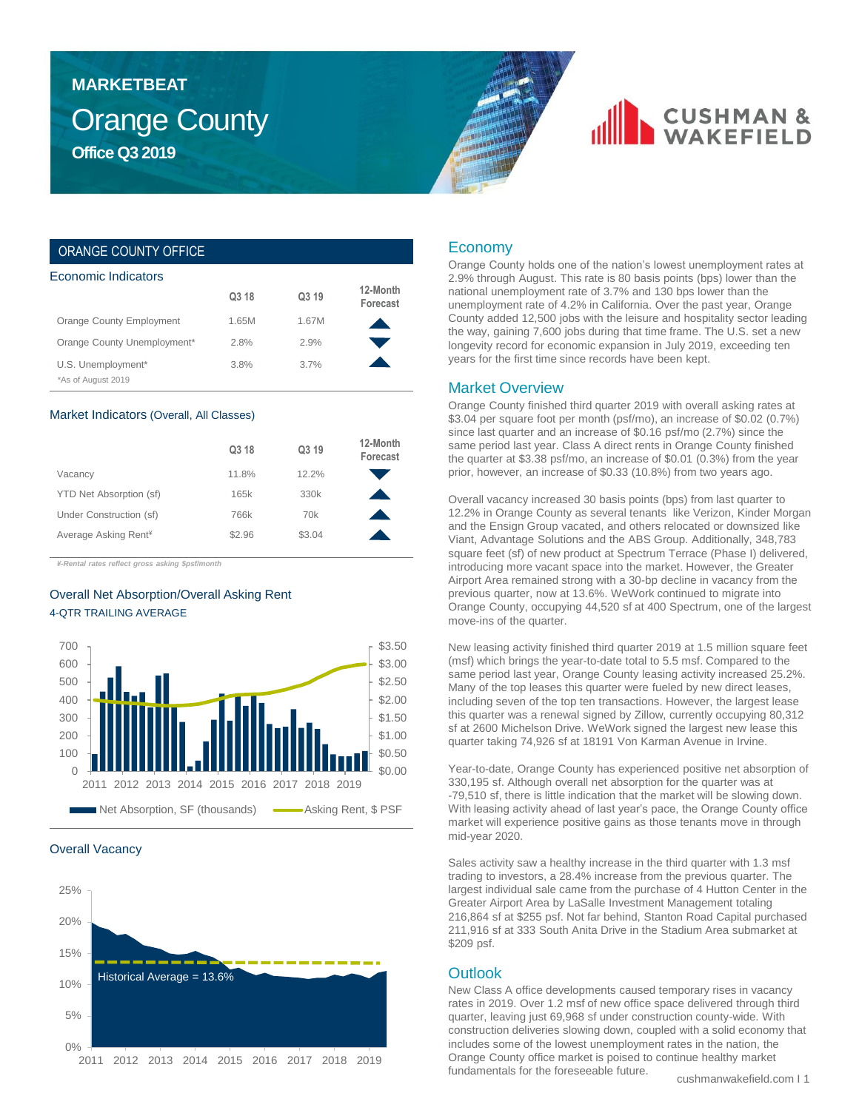### Orange County **Office Q3 2019 MARKETBEAT**

## **CUSHMAN &**

### ORANGE COUNTY OFFICE

| Economic Indicators         |       |       |                      |  |  |  |  |
|-----------------------------|-------|-------|----------------------|--|--|--|--|
|                             | Q3 18 | Q3 19 | 12-Month<br>Forecast |  |  |  |  |
| Orange County Employment    | 1.65M | 1.67M |                      |  |  |  |  |
| Orange County Unemployment* | 2.8%  | 2.9%  |                      |  |  |  |  |
| U.S. Unemployment*          | 3.8%  | 3.7%  |                      |  |  |  |  |
| *As of August 2019          |       |       |                      |  |  |  |  |

#### Market Indicators (Overall, All Classes)

|                                  | Q3 18  | Q3 19           | 12-Month<br>Forecast |
|----------------------------------|--------|-----------------|----------------------|
| Vacancy                          | 11.8%  | 12.2%           |                      |
| YTD Net Absorption (sf)          | 165k   | 330k            |                      |
| Under Construction (sf)          | 766k   | 70 <sub>k</sub> |                      |
| Average Asking Rent <sup>¥</sup> | \$2.96 | \$3.04          |                      |

*¥-Rental rates reflect gross asking \$psf/month*

### Overall Net Absorption/Overall Asking Rent 4-QTR TRAILING AVERAGE



### Overall Vacancy



### Economy

Orange County holds one of the nation's lowest unemployment rates at 2.9% through August. This rate is 80 basis points (bps) lower than the national unemployment rate of 3.7% and 130 bps lower than the unemployment rate of 4.2% in California. Over the past year, Orange County added 12,500 jobs with the leisure and hospitality sector leading the way, gaining 7,600 jobs during that time frame. The U.S. set a new longevity record for economic expansion in July 2019, exceeding ten years for the first time since records have been kept.

### Market Overview

Orange County finished third quarter 2019 with overall asking rates at \$3.04 per square foot per month (psf/mo), an increase of \$0.02 (0.7%) since last quarter and an increase of \$0.16 psf/mo (2.7%) since the same period last year. Class A direct rents in Orange County finished the quarter at \$3.38 psf/mo, an increase of \$0.01 (0.3%) from the year prior, however, an increase of \$0.33 (10.8%) from two years ago.

Overall vacancy increased 30 basis points (bps) from last quarter to 12.2% in Orange County as several tenants like Verizon, Kinder Morgan and the Ensign Group vacated, and others relocated or downsized like Viant, Advantage Solutions and the ABS Group. Additionally, 348,783 square feet (sf) of new product at Spectrum Terrace (Phase I) delivered, introducing more vacant space into the market. However, the Greater Airport Area remained strong with a 30-bp decline in vacancy from the previous quarter, now at 13.6%. WeWork continued to migrate into Orange County, occupying 44,520 sf at 400 Spectrum, one of the largest move-ins of the quarter.

New leasing activity finished third quarter 2019 at 1.5 million square feet (msf) which brings the year-to-date total to 5.5 msf. Compared to the same period last year, Orange County leasing activity increased 25.2%. Many of the top leases this quarter were fueled by new direct leases, including seven of the top ten transactions. However, the largest lease this quarter was a renewal signed by Zillow, currently occupying 80,312 sf at 2600 Michelson Drive. WeWork signed the largest new lease this quarter taking 74,926 sf at 18191 Von Karman Avenue in Irvine.

Year-to-date, Orange County has experienced positive net absorption of 330,195 sf. Although overall net absorption for the quarter was at -79,510 sf, there is little indication that the market will be slowing down. With leasing activity ahead of last year's pace, the Orange County office market will experience positive gains as those tenants move in through mid-year 2020.

Sales activity saw a healthy increase in the third quarter with 1.3 msf trading to investors, a 28.4% increase from the previous quarter. The largest individual sale came from the purchase of 4 Hutton Center in the Greater Airport Area by LaSalle Investment Management totaling 216,864 sf at \$255 psf. Not far behind, Stanton Road Capital purchased 211,916 sf at 333 South Anita Drive in the Stadium Area submarket at \$209 psf.

### **Outlook**

New Class A office developments caused temporary rises in vacancy rates in 2019. Over 1.2 msf of new office space delivered through third quarter, leaving just 69,968 sf under construction county-wide. With construction deliveries slowing down, coupled with a solid economy that includes some of the lowest unemployment rates in the nation, the Orange County office market is poised to continue healthy market fundamentals for the foreseeable future.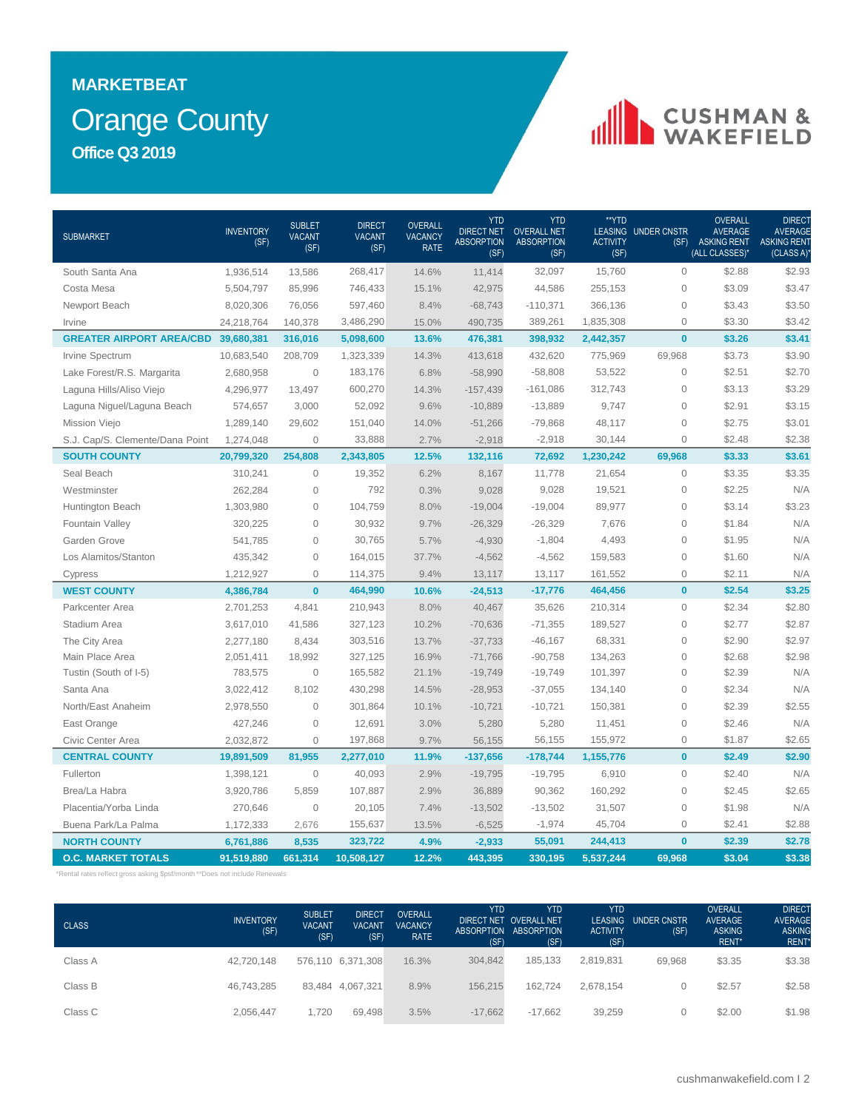### Orange County **MARKETBEAT Office Q3 2019**

# CUSHMAN &

| <b>SUBMARKET</b>                | <b>INVENTORY</b><br>(SF) | <b>SUBLET</b><br><b>VACANT</b><br>(SF) | <b>DIRECT</b><br><b>VACANT</b><br>(SF) | OVERALL<br><b>VACANCY</b><br><b>RATE</b> | <b>YTD</b><br><b>DIRECT NET</b><br><b>ABSORPTION</b><br>(SF) | <b>YTD</b><br><b>OVERALL NET</b><br><b>ABSORPTION</b><br>(SF) | **YTD<br><b>ACTIVITY</b><br>(SF) | <b>LEASING UNDER CNSTR</b><br>(SF) | <b>OVERALL</b><br><b>AVERAGE</b><br><b>ASKING RENT</b><br>(ALL CLASSES)* | DIRECT<br><b>AVERAGE</b><br><b>ASKING RENT</b><br>(CLASS A) |
|---------------------------------|--------------------------|----------------------------------------|----------------------------------------|------------------------------------------|--------------------------------------------------------------|---------------------------------------------------------------|----------------------------------|------------------------------------|--------------------------------------------------------------------------|-------------------------------------------------------------|
| South Santa Ana                 | 1,936,514                | 13,586                                 | 268,417                                | 14.6%                                    | 11,414                                                       | 32,097                                                        | 15,760                           | $\mathbf{O}$                       | \$2.88                                                                   | \$2.93                                                      |
| Costa Mesa                      | 5,504,797                | 85,996                                 | 746,433                                | 15.1%                                    | 42,975                                                       | 44,586                                                        | 255,153                          | $\overline{0}$                     | \$3.09                                                                   | \$3.47                                                      |
| Newport Beach                   | 8,020,306                | 76,056                                 | 597,460                                | 8.4%                                     | $-68,743$                                                    | $-110,371$                                                    | 366,136                          | $\mathbf{O}$                       | \$3.43                                                                   | \$3.50                                                      |
| Irvine                          | 24,218,764               | 140,378                                | 3,486,290                              | 15.0%                                    | 490,735                                                      | 389,261                                                       | 1,835,308                        | $\mathbf{O}$                       | \$3.30                                                                   | \$3.42                                                      |
| <b>GREATER AIRPORT AREA/CBD</b> | 39,680,381               | 316,016                                | 5,098,600                              | 13.6%                                    | 476,381                                                      | 398,932                                                       | 2,442,357                        | $\bf{0}$                           | \$3.26                                                                   | \$3.41                                                      |
| Irvine Spectrum                 | 10,683,540               | 208,709                                | 1,323,339                              | 14.3%                                    | 413,618                                                      | 432,620                                                       | 775,969                          | 69,968                             | \$3.73                                                                   | \$3.90                                                      |
| Lake Forest/R.S. Margarita      | 2,680,958                | $\circ$                                | 183,176                                | 6.8%                                     | $-58,990$                                                    | $-58,808$                                                     | 53,522                           | $\mathsf{O}\xspace$                | \$2.51                                                                   | \$2.70                                                      |
| Laguna Hills/Aliso Viejo        | 4,296,977                | 13,497                                 | 600,270                                | 14.3%                                    | $-157,439$                                                   | $-161,086$                                                    | 312,743                          | $\mathbf 0$                        | \$3.13                                                                   | \$3.29                                                      |
| Laguna Niguel/Laguna Beach      | 574,657                  | 3,000                                  | 52,092                                 | 9.6%                                     | $-10,889$                                                    | $-13,889$                                                     | 9,747                            | $\mathbf{O}$                       | \$2.91                                                                   | \$3.15                                                      |
| Mission Viejo                   | 1,289,140                | 29.602                                 | 151,040                                | 14.0%                                    | $-51,266$                                                    | $-79,868$                                                     | 48,117                           | $\mathbf{O}$                       | \$2.75                                                                   | \$3.01                                                      |
| S.J. Cap/S. Clemente/Dana Point | 1,274,048                | $\mathbf 0$                            | 33,888                                 | 2.7%                                     | $-2,918$                                                     | $-2,918$                                                      | 30,144                           | $\mathsf{O}\xspace$                | \$2.48                                                                   | \$2.38                                                      |
| <b>SOUTH COUNTY</b>             | 20,799,320               | 254,808                                | 2,343,805                              | 12.5%                                    | 132,116                                                      | 72,692                                                        | 1,230,242                        | 69,968                             | \$3.33                                                                   | \$3.61                                                      |
| Seal Beach                      | 310,241                  | $\circ$                                | 19,352                                 | 6.2%                                     | 8,167                                                        | 11,778                                                        | 21,654                           | $\mathbf 0$                        | \$3.35                                                                   | \$3.35                                                      |
| Westminster                     | 262,284                  | $\mathbf 0$                            | 792                                    | 0.3%                                     | 9,028                                                        | 9,028                                                         | 19,521                           | $\mathbf{O}$                       | \$2.25                                                                   | N/A                                                         |
| Huntington Beach                | 1,303,980                | $\Omega$                               | 104,759                                | 8.0%                                     | $-19,004$                                                    | $-19,004$                                                     | 89,977                           | $\mathbf{O}$                       | \$3.14                                                                   | \$3.23                                                      |
| Fountain Valley                 | 320,225                  | $\Omega$                               | 30,932                                 | 9.7%                                     | $-26,329$                                                    | $-26,329$                                                     | 7,676                            | $\mathsf{O}\xspace$                | \$1.84                                                                   | N/A                                                         |
| Garden Grove                    | 541,785                  | $\mathbf 0$                            | 30,765                                 | 5.7%                                     | $-4,930$                                                     | $-1,804$                                                      | 4,493                            | $\mathsf{O}\xspace$                | \$1.95                                                                   | N/A                                                         |
| Los Alamitos/Stanton            | 435,342                  | $\mathbf 0$                            | 164,015                                | 37.7%                                    | $-4,562$                                                     | $-4,562$                                                      | 159,583                          | $\mathsf{O}\xspace$                | \$1.60                                                                   | N/A                                                         |
| Cypress                         | 1,212,927                | $\overline{0}$                         | 114,375                                | 9.4%                                     | 13,117                                                       | 13,117                                                        | 161,552                          | $\mathsf{O}\xspace$                | \$2.11                                                                   | N/A                                                         |
| <b>WEST COUNTY</b>              | 4,386,784                | $\bf{0}$                               | 464,990                                | 10.6%                                    | $-24,513$                                                    | $-17,776$                                                     | 464,456                          | $\mathbf{0}$                       | \$2.54                                                                   | \$3.25                                                      |
| Parkcenter Area                 | 2,701,253                | 4,841                                  | 210,943                                | 8.0%                                     | 40,467                                                       | 35,626                                                        | 210,314                          | $\mathbf{O}$                       | \$2.34                                                                   | \$2.80                                                      |
| Stadium Area                    | 3,617,010                | 41,586                                 | 327,123                                | 10.2%                                    | $-70,636$                                                    | $-71,355$                                                     | 189,527                          | $\mathsf{O}\xspace$                | \$2.77                                                                   | \$2.87                                                      |
| The City Area                   | 2,277,180                | 8,434                                  | 303,516                                | 13.7%                                    | $-37,733$                                                    | $-46,167$                                                     | 68,331                           | $\mathsf{O}\xspace$                | \$2.90                                                                   | \$2.97                                                      |
| Main Place Area                 | 2,051,411                | 18,992                                 | 327,125                                | 16.9%                                    | $-71,766$                                                    | $-90,758$                                                     | 134,263                          | $\mathsf{O}\xspace$                | \$2.68                                                                   | \$2.98                                                      |
| Tustin (South of I-5)           | 783,575                  | $\mathbf 0$                            | 165,582                                | 21.1%                                    | $-19,749$                                                    | $-19,749$                                                     | 101,397                          | $\overline{0}$                     | \$2.39                                                                   | N/A                                                         |
| Santa Ana                       | 3,022,412                | 8.102                                  | 430,298                                | 14.5%                                    | $-28,953$                                                    | $-37,055$                                                     | 134,140                          | $\mathbf{O}$                       | \$2.34                                                                   | N/A                                                         |
| North/East Anaheim              | 2,978,550                | $\mathbf 0$                            | 301,864                                | 10.1%                                    | $-10,721$                                                    | $-10,721$                                                     | 150,381                          | $\mathbf{O}$                       | \$2.39                                                                   | \$2.55                                                      |
| East Orange                     | 427,246                  | $\mathbf 0$                            | 12,691                                 | 3.0%                                     | 5,280                                                        | 5,280                                                         | 11,451                           | $\mathsf{O}\xspace$                | \$2.46                                                                   | N/A                                                         |
| Civic Center Area               | 2,032,872                | $\mathbf 0$                            | 197,868                                | 9.7%                                     | 56,155                                                       | 56,155                                                        | 155,972                          | $\mathsf{O}\xspace$                | \$1.87                                                                   | \$2.65                                                      |
| <b>CENTRAL COUNTY</b>           | 19,891,509               | 81,955                                 | 2,277,010                              | 11.9%                                    | $-137,656$                                                   | $-178,744$                                                    | 1,155,776                        | $\bf{0}$                           | \$2.49                                                                   | \$2.90                                                      |
| Fullerton                       | 1,398,121                | $\mathbf 0$                            | 40,093                                 | 2.9%                                     | $-19,795$                                                    | $-19,795$                                                     | 6,910                            | $\mathbf 0$                        | \$2.40                                                                   | N/A                                                         |
| Brea/La Habra                   | 3,920,786                | 5,859                                  | 107,887                                | 2.9%                                     | 36,889                                                       | 90,362                                                        | 160,292                          | $\mathbf{O}$                       | \$2.45                                                                   | \$2.65                                                      |
| Placentia/Yorba Linda           | 270,646                  | $\overline{0}$                         | 20,105                                 | 7.4%                                     | $-13,502$                                                    | $-13,502$                                                     | 31,507                           | $\mathbf{O}$                       | \$1.98                                                                   | N/A                                                         |
| Buena Park/La Palma             | 1,172,333                | 2,676                                  | 155,637                                | 13.5%                                    | $-6,525$                                                     | $-1,974$                                                      | 45,704                           | $\mathsf{O}\xspace$                | \$2.41                                                                   | \$2.88                                                      |
| <b>NORTH COUNTY</b>             | 6,761,886                | 8,535                                  | 323,722                                | 4.9%                                     | $-2,933$                                                     | 55,091                                                        | 244,413                          | $\bf{0}$                           | \$2.39                                                                   | \$2.78                                                      |
| <b>O.C. MARKET TOTALS</b>       | 91,519,880               | 661,314                                | 10,508,127                             | 12.2%                                    | 443,395                                                      | 330,195                                                       | 5,537,244                        | 69,968                             | \$3.04                                                                   | \$3.38                                                      |

\*Rental rates reflect gross asking \$psf/month \*\*Does not include Renewals

| <b>CLASS</b> | <b>INVENTORY</b><br>(SF) | <b>SUBLET</b><br><b>VACANT</b><br>(SF) | <b>DIRECT</b><br><b>VACANT</b><br>(SF) | <b>OVERALL</b><br><b>VACANCY</b><br><b>RATE</b> | <b>YTD</b><br>(SF) | <b>YTD</b><br>DIRECT NET OVERALL NET.<br>ABSORPTION ABSORPTION<br>(SF) | <b>YTD</b><br><b>LEASING</b><br><b>ACTIVITY</b><br>(SF) | UNDER CNSTR<br>(SF) | <b>OVERALL</b><br><b>AVERAGE</b><br><b>ASKING</b><br>RENT* | <b>DIRECT</b><br><b>AVERAGE</b><br><b>ASKING</b><br>RENT* |
|--------------|--------------------------|----------------------------------------|----------------------------------------|-------------------------------------------------|--------------------|------------------------------------------------------------------------|---------------------------------------------------------|---------------------|------------------------------------------------------------|-----------------------------------------------------------|
| Class A      | 42.720.148               |                                        | 576,110 6,371,308                      | 16.3%                                           | 304.842            | 185.133                                                                | 2,819,831                                               | 69.968              | \$3.35                                                     | \$3.38                                                    |
| Class B      | 46.743.285               |                                        | 83.484 4.067.321                       | 8.9%                                            | 156.215            | 162.724                                                                | 2,678,154                                               |                     | \$2.57                                                     | \$2.58                                                    |
| Class C      | 2.056.447                | 1.720                                  | 69.498                                 | 3.5%                                            | $-17,662$          | $-17.662$                                                              | 39.259                                                  |                     | \$2.00                                                     | \$1.98                                                    |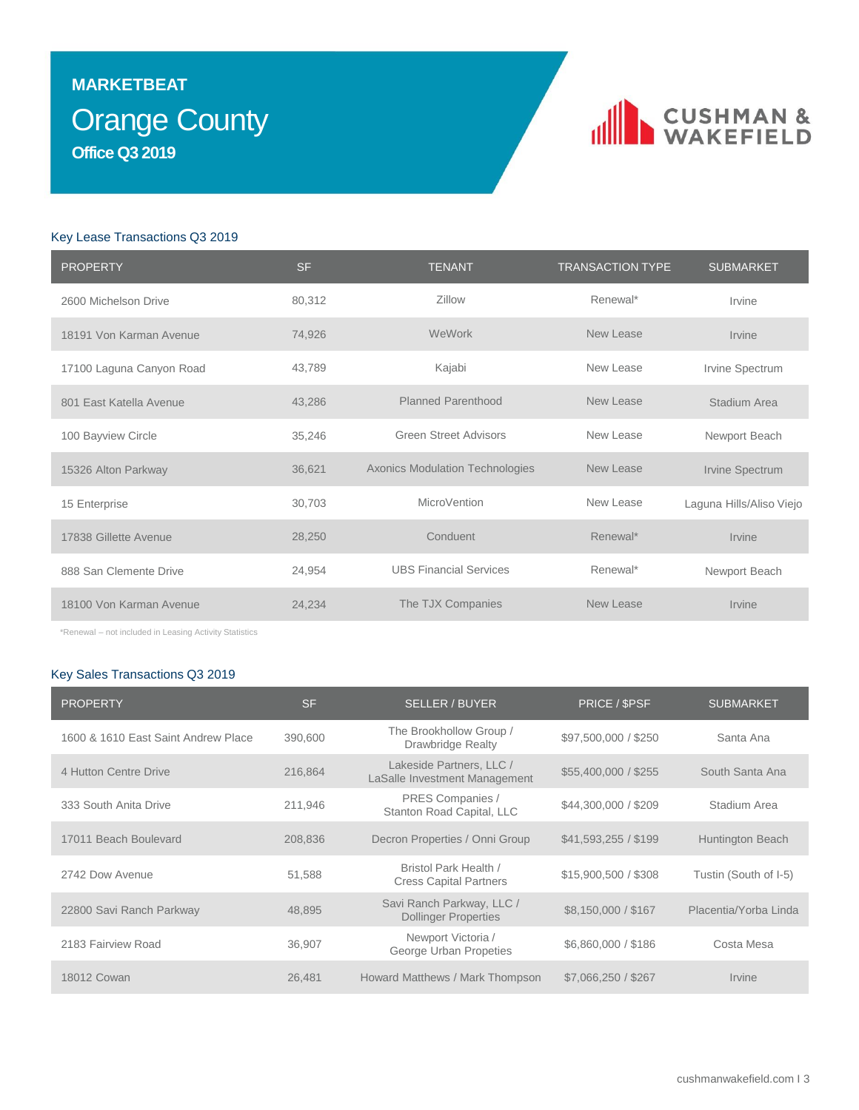### Orange County **MARKETBEAT Office Q3 2019**

### CUSHMAN &

### Key Lease Transactions Q3 2019

| <b>PROPERTY</b>          | <b>SF</b> | <b>TENANT</b>                          | <b>TRANSACTION TYPE</b> | <b>SUBMARKET</b>         |
|--------------------------|-----------|----------------------------------------|-------------------------|--------------------------|
| 2600 Michelson Drive     | 80,312    | Zillow                                 | Renewal*                | Irvine                   |
| 18191 Von Karman Avenue  | 74,926    | WeWork                                 | New Lease               | Irvine                   |
| 17100 Laguna Canyon Road | 43,789    | Kajabi                                 | New Lease               | Irvine Spectrum          |
| 801 East Katella Avenue  | 43,286    | <b>Planned Parenthood</b>              | New Lease               | Stadium Area             |
| 100 Bayview Circle       | 35,246    | <b>Green Street Advisors</b>           | New Lease               | Newport Beach            |
| 15326 Alton Parkway      | 36,621    | <b>Axonics Modulation Technologies</b> | New Lease               | Irvine Spectrum          |
| 15 Enterprise            | 30,703    | MicroVention                           | New Lease               | Laguna Hills/Aliso Viejo |
| 17838 Gillette Avenue    | 28,250    | Conduent                               | Renewal*                | Irvine                   |
| 888 San Clemente Drive   | 24,954    | <b>UBS Financial Services</b>          | Renewal*                | Newport Beach            |
| 18100 Von Karman Avenue  | 24,234    | The TJX Companies                      | New Lease               | Irvine                   |

\*Renewal – not included in Leasing Activity Statistics

### Key Sales Transactions Q3 2019

| <b>PROPERTY</b>                     | <b>SF</b> | <b>SELLER / BUYER</b>                                     | PRICE / SPSF         | <b>SUBMARKET</b>      |
|-------------------------------------|-----------|-----------------------------------------------------------|----------------------|-----------------------|
| 1600 & 1610 East Saint Andrew Place | 390,600   | The Brookhollow Group /<br><b>Drawbridge Realty</b>       | \$97,500,000 / \$250 | Santa Ana             |
| 4 Hutton Centre Drive               | 216,864   | Lakeside Partners, LLC /<br>LaSalle Investment Management | \$55,400,000 / \$255 | South Santa Ana       |
| 333 South Anita Drive               | 211,946   | PRES Companies /<br>Stanton Road Capital, LLC             | \$44,300,000 / \$209 | Stadium Area          |
| 17011 Beach Boulevard               | 208,836   | Decron Properties / Onni Group                            | \$41,593,255 / \$199 | Huntington Beach      |
| 2742 Dow Avenue                     | 51,588    | Bristol Park Health /<br><b>Cress Capital Partners</b>    | \$15,900,500 / \$308 | Tustin (South of I-5) |
| 22800 Savi Ranch Parkway            | 48,895    | Savi Ranch Parkway, LLC /<br><b>Dollinger Properties</b>  | \$8,150,000 / \$167  | Placentia/Yorba Linda |
| 2183 Fairview Road                  | 36,907    | Newport Victoria /<br>George Urban Propeties              | \$6,860,000 / \$186  | Costa Mesa            |
| 18012 Cowan                         | 26,481    | Howard Matthews / Mark Thompson                           | \$7,066,250 / \$267  | Irvine                |